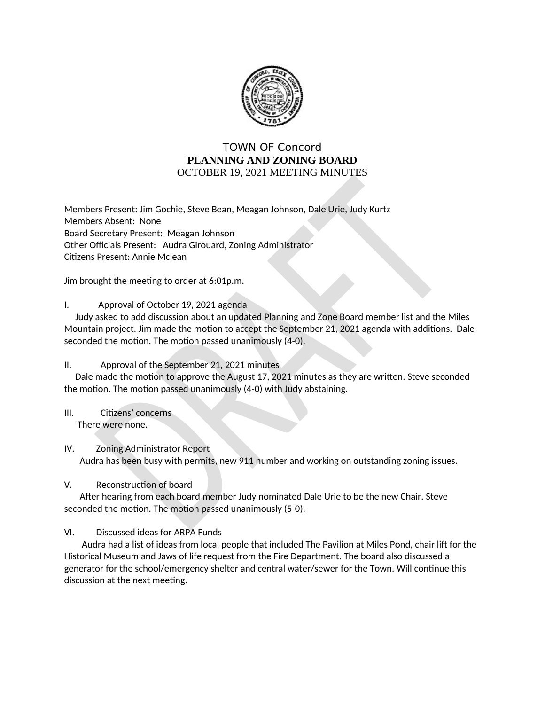

# **TOWN OF Concord** PLANNING AND ZONING BOARD OCTOBER 19, 2021 MEETING MINUTES

Members Present: Jim Gochie, Steve Bean, Meagan Johnson, Dale Urie, Judy Kurtz Members Absent: None Board Secretary Present: Meagan Johnson Other Officials Present: Audra Girouard, Zoning Administrator Citizens Present: Annie Mclean

Jim brought the meeting to order at 6:01p.m.

## I. Approval of October 19, 2021 agenda

Judy asked to add discussion about an updated Planning and Zone Board member list and the Miles Mountain project. Jim made the motion to accept the September 21, 2021 agenda with additions. Dale seconded the motion. The motion passed unanimously (4-0).

### $\Pi$ . Approval of the September 21, 2021 minutes

Dale made the motion to approve the August 17, 2021 minutes as they are written. Steve seconded the motion. The motion passed unanimously (4-0) with Judy abstaining.

 $III.$ Citizens' concerns There were none.

## IV. **Zoning Administrator Report** Audra has been busy with permits, new 911 number and working on outstanding zoning issues.

### V. Reconstruction of board

After hearing from each board member Judy nominated Dale Urie to be the new Chair. Steve seconded the motion. The motion passed unanimously (5-0).

## VI. Discussed ideas for ARPA Funds

Audra had a list of ideas from local people that included The Pavilion at Miles Pond, chair lift for the Historical Museum and Jaws of life request from the Fire Department. The board also discussed a generator for the school/emergency shelter and central water/sewer for the Town. Will continue this discussion at the next meeting.